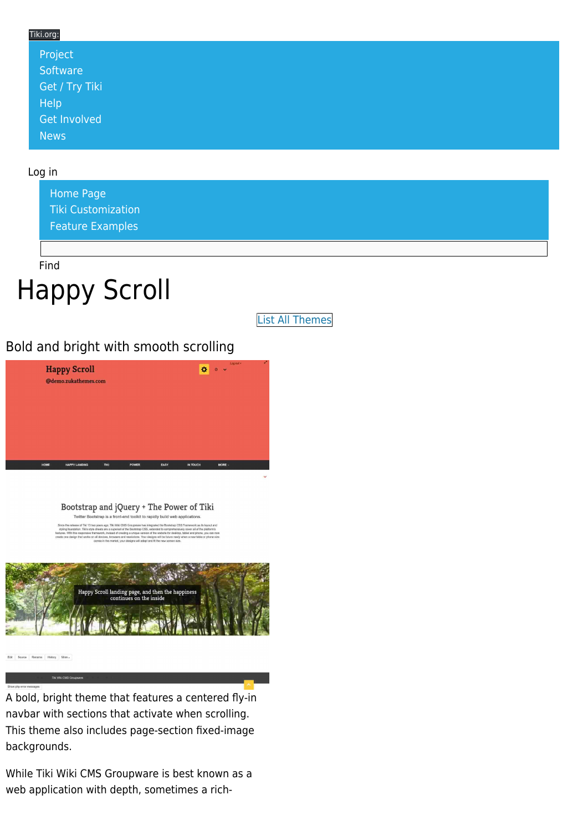### Tiki.org: [Project](https://tiki.org/Project Introduction) **[Software](https://tiki.org/Software Overview and Model)** [Get / Try Tiki](https://tiki.org/Get Tiki - Try Tiki) [Help](https://tiki.org/Get Help) [Get Involved](https://tiki.org/Get Involved) [News](https://tiki.org/News)

#### Log in

[Home Page](https://themes.tiki.org/Themes) [Tiki Customization](https://themes.tiki.org/Tiki-Customization) [Feature Examples](#page--1-0)

Find

# Happy Scroll

[List All Themes](https://themes.tiki.org/marketplace%20themes)

### Bold and bright with smooth scrolling



Bootstrap and jQuery + The Power of Tiki Twitter Bootstrap is a front-end toolkit to rapidly build web applications



A bold, bright theme that features a centered fly-in navbar with sections that activate when scrolling. This theme also includes page-section fixed-image backgrounds.

While Tiki Wiki CMS Groupware is best known as a web application with depth, sometimes a rich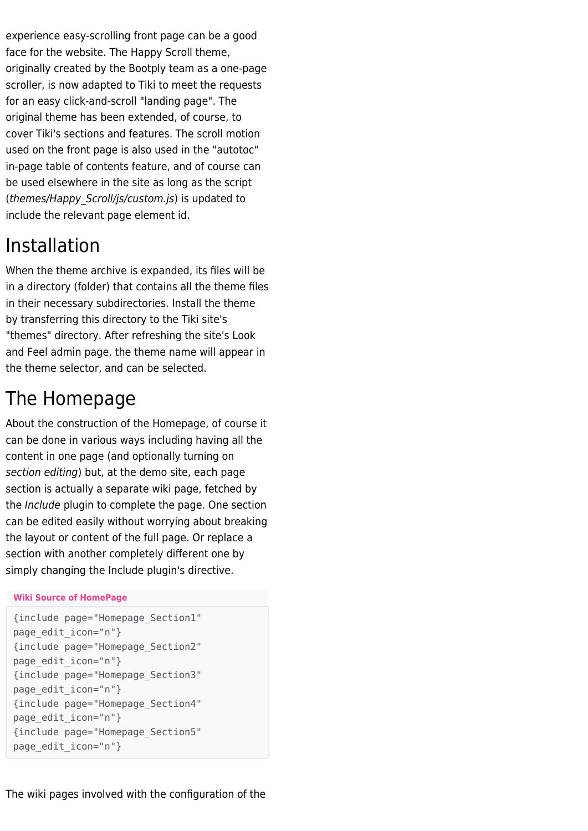experience easy-scrolling front page can be a good face for the website. The Happy Scroll theme, originally created by the Bootply team as a one-page scroller, is now adapted to Tiki to meet the requests for an easy click-and-scroll "landing page". The original theme has been extended, of course, to cover Tiki's sections and features. The scroll motion used on the front page is also used in the "autotoc" in-page table of contents feature, and of course can be used elsewhere in the site as long as the script (themes/Happy\_Scroll/js/custom.js) is updated to include the relevant page element id.

# Installation

When the theme archive is expanded, its files will be in a directory (folder) that contains all the theme files in their necessary subdirectories. Install the theme by transferring this directory to the Tiki site's "themes" directory. After refreshing the site's Look and Feel admin page, the theme name will appear in the theme selector, and can be selected.

# The Homepage

About the construction of the Homepage, of course it can be done in various ways including having all the content in one page (and optionally turning on section editing) but, at the demo site, each page section is actually a separate wiki page, fetched by the Include plugin to complete the page. One section can be edited easily without worrying about breaking the layout or content of the full page. Or replace a section with another completely different one by simply changing the Include plugin's directive.

### **Wiki Source of HomePage**

```
{include page="Homepage_Section1"
page_edit_icon="n"}
{include page="Homepage_Section2"
page_edit_icon="n"}
{include page="Homepage_Section3"
page_edit_icon="n"}
{include page="Homepage_Section4"
page_edit_icon="n"}
{include page="Homepage_Section5"
page_edit_icon="n"}
```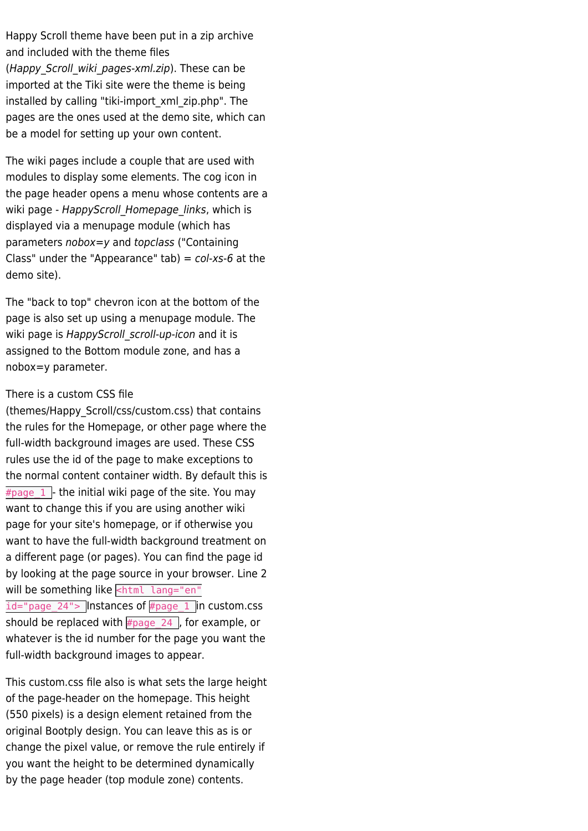Happy Scroll theme have been put in a zip archive and included with the theme files (Happy Scroll wiki pages-xml.zip). These can be imported at the Tiki site were the theme is being installed by calling "tiki-import\_xml\_zip.php". The pages are the ones used at the demo site, which can be a model for setting up your own content.

The wiki pages include a couple that are used with modules to display some elements. The cog icon in the page header opens a menu whose contents are a wiki page - HappyScroll Homepage links, which is displayed via a menupage module (which has parameters nobox=y and topclass ("Containing Class" under the "Appearance" tab) =  $col-xs-6$  at the demo site).

The "back to top" chevron icon at the bottom of the page is also set up using a menupage module. The wiki page is HappyScroll scroll-up-icon and it is assigned to the Bottom module zone, and has a nobox=y parameter.

#### There is a custom CSS file

(themes/Happy\_Scroll/css/custom.css) that contains the rules for the Homepage, or other page where the full-width background images are used. These CSS rules use the id of the page to make exceptions to the normal content container width. By default this is  $\frac{1}{2}$   $\frac{1}{2}$  the initial wiki page of the site. You may want to change this if you are using another wiki page for your site's homepage, or if otherwise you want to have the full-width background treatment on a different page (or pages). You can find the page id by looking at the page source in your browser. Line 2 will be something like  $\leq$ html lang="en"  $id="page 24"$  Instances of #page  $1$  in custom.css should be replaced with  $\frac{1}{2}$   $\frac{1}{2}$  and  $\frac{1}{2}$  or example, or whatever is the id number for the page you want the full-width background images to appear.

This custom.css file also is what sets the large height of the page-header on the homepage. This height (550 pixels) is a design element retained from the original Bootply design. You can leave this as is or change the pixel value, or remove the rule entirely if you want the height to be determined dynamically by the page header (top module zone) contents.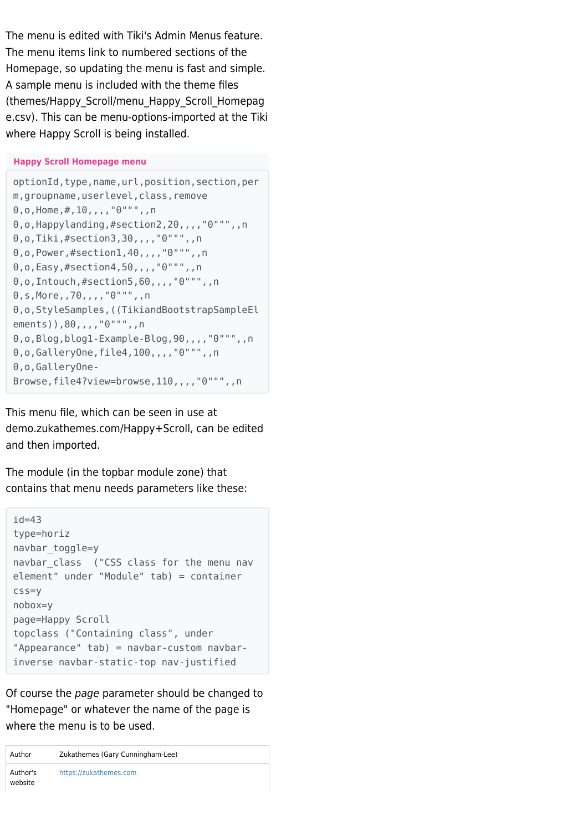The menu is edited with Tiki's Admin Menus feature. The menu items link to numbered sections of the Homepage, so updating the menu is fast and simple. A sample menu is included with the theme files (themes/Happy\_Scroll/menu\_Happy\_Scroll\_Homepag e.csv). This can be menu-options-imported at the Tiki where Happy Scroll is being installed.

#### **Happy Scroll Homepage menu**

```
optionId,type,name,url,position,section,per
m, groupname, userlevel, class, remove
0, 0, Home, #, 10, , , , "0""", , n
0,o, Happylanding, #section2, 20,,,,"0""",,n
0,o,Tiki,#section3,30,,,,"0""",,n
0,o,Power,#section1,40,,,,"0""",,n
0,o,Easy,#section4,50,,,,"0""",,n
0,o,Intouch,#section5,60,,,,"0""",,n
0,s,More,,70,,,,"0""",,n
0,o,StyleSamples,((TikiandBootstrapSampleEl
ements)),80,,,,"0""",,n
0,o,Blog,blog1-Example-Blog,90,,,,"0""",,n
0,o,GalleryOne,file4,100,,,,"0""",,n
0,o,GalleryOne-
Browse,file4?view=browse,110,,,,"0""",,n
```
This menu file, which can be seen in use at demo.zukathemes.com/Happy+Scroll, can be edited and then imported.

The module (in the topbar module zone) that contains that menu needs parameters like these:

```
id = 43type=horiz
navbar_toggle=y
navbar_class ("CSS class for the menu nav
element" under "Module" tab) = container
css=y
nobox=y
page=Happy Scroll
topclass ("Containing class", under
"Appearance" tab) = navbar-custom navbar-
inverse navbar-static-top nav-justified
```
Of course the page parameter should be changed to "Homepage" or whatever the name of the page is where the menu is to be used.

| Author              | Zukathemes (Gary Cunningham-Lee) |
|---------------------|----------------------------------|
| Author's<br>website | https://zukathemes.com           |